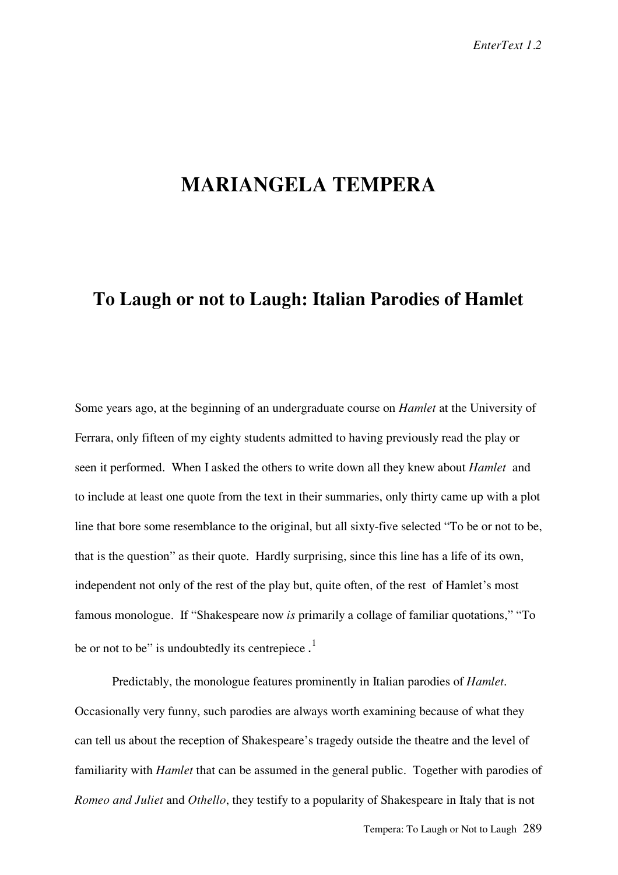## **MARIANGELA TEMPERA**

## **To Laugh or not to Laugh: Italian Parodies of Hamlet**

Some years ago, at the beginning of an undergraduate course on *Hamlet* at the University of Ferrara, only fifteen of my eighty students admitted to having previously read the play or seen it performed. When I asked the others to write down all they knew about *Hamlet* and to include at least one quote from the text in their summaries, only thirty came up with a plot line that bore some resemblance to the original, but all sixty-five selected "To be or not to be, that is the question" as their quote. Hardly surprising, since this line has a life of its own, independent not only of the rest of the play but, quite often, of the rest of Hamlet's most famous monologue. If "Shakespeare now *is* primarily a collage of familiar quotations," "To be or not to be" is undoubtedly its centrepiece.<sup>1</sup>

Predictably, the monologue features prominently in Italian parodies of *Hamlet*. Occasionally very funny, such parodies are always worth examining because of what they can tell us about the reception of Shakespeare's tragedy outside the theatre and the level of familiarity with *Hamlet* that can be assumed in the general public. Together with parodies of *Romeo and Juliet* and *Othello*, they testify to a popularity of Shakespeare in Italy that is not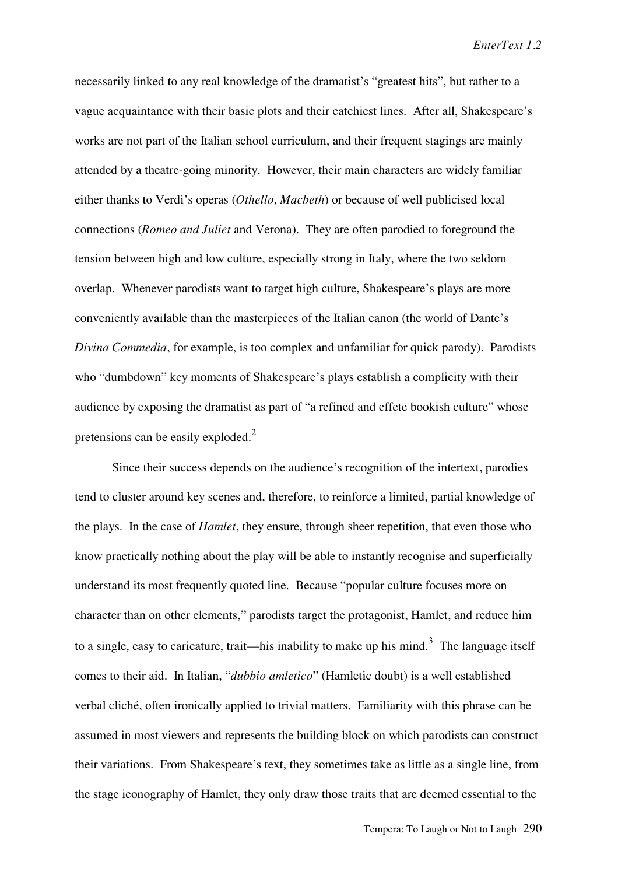necessarily linked to any real knowledge of the dramatist's "greatest hits", but rather to a vague acquaintance with their basic plots and their catchiest lines. After all, Shakespeare's works are not part of the Italian school curriculum, and their frequent stagings are mainly attended by a theatre-going minority. However, their main characters are widely familiar either thanks to Verdi's operas (*Othello*, *Macbeth*) or because of well publicised local connections (*Romeo and Juliet* and Verona). They are often parodied to foreground the tension between high and low culture, especially strong in Italy, where the two seldom overlap. Whenever parodists want to target high culture, Shakespeare's plays are more conveniently available than the masterpieces of the Italian canon (the world of Dante's *Divina Commedia*, for example, is too complex and unfamiliar for quick parody). Parodists who "dumbdown" key moments of Shakespeare's plays establish a complicity with their audience by exposing the dramatist as part of "a refined and effete bookish culture" whose pretensions can be easily exploded.<sup>2</sup>

Since their success depends on the audience's recognition of the intertext, parodies tend to cluster around key scenes and, therefore, to reinforce a limited, partial knowledge of the plays. In the case of *Hamlet*, they ensure, through sheer repetition, that even those who know practically nothing about the play will be able to instantly recognise and superficially understand its most frequently quoted line. Because "popular culture focuses more on character than on other elements," parodists target the protagonist, Hamlet, and reduce him to a single, easy to caricature, trait—his inability to make up his mind.<sup>3</sup> The language itself comes to their aid. In Italian, "*dubbio amletico*" (Hamletic doubt) is a well established verbal cliché, often ironically applied to trivial matters. Familiarity with this phrase can be assumed in most viewers and represents the building block on which parodists can construct their variations. From Shakespeare's text, they sometimes take as little as a single line, from the stage iconography of Hamlet, they only draw those traits that are deemed essential to the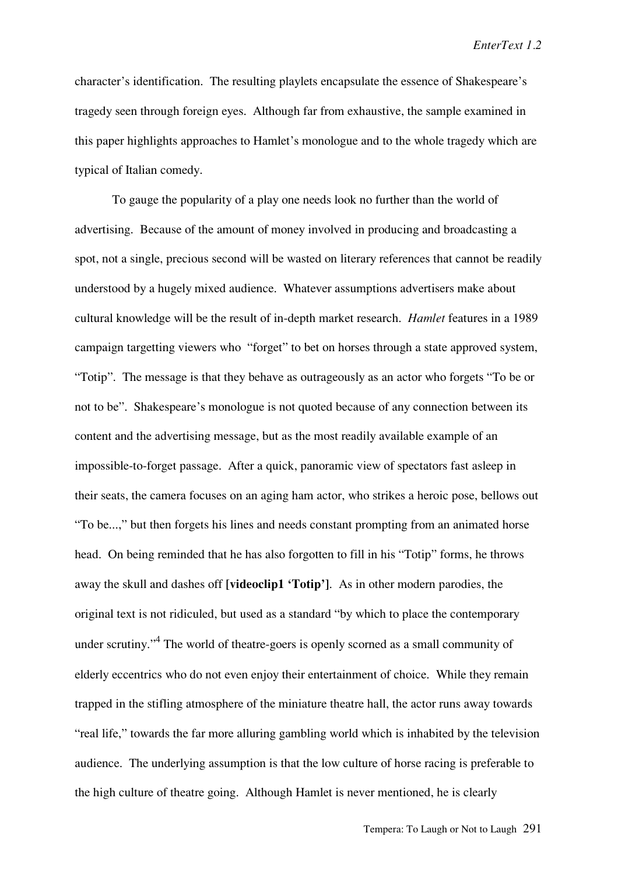*EnterText 1.2*

character's identification. The resulting playlets encapsulate the essence of Shakespeare's tragedy seen through foreign eyes. Although far from exhaustive, the sample examined in this paper highlights approaches to Hamlet's monologue and to the whole tragedy which are typical of Italian comedy.

To gauge the popularity of a play one needs look no further than the world of advertising. Because of the amount of money involved in producing and broadcasting a spot, not a single, precious second will be wasted on literary references that cannot be readily understood by a hugely mixed audience. Whatever assumptions advertisers make about cultural knowledge will be the result of in-depth market research. *Hamlet* features in a 1989 campaign targetting viewers who "forget" to bet on horses through a state approved system, "Totip". The message is that they behave as outrageously as an actor who forgets "To be or not to be". Shakespeare's monologue is not quoted because of any connection between its content and the advertising message, but as the most readily available example of an impossible-to-forget passage. After a quick, panoramic view of spectators fast asleep in their seats, the camera focuses on an aging ham actor, who strikes a heroic pose, bellows out "To be...," but then forgets his lines and needs constant prompting from an animated horse head. On being reminded that he has also forgotten to fill in his "Totip" forms, he throws away the skull and dashes off **[videoclip1 'Totip']**.As in other modern parodies, the original text is not ridiculed, but used as a standard "by which to place the contemporary under scrutiny.<sup>4</sup> The world of theatre-goers is openly scorned as a small community of elderly eccentrics who do not even enjoy their entertainment of choice. While they remain trapped in the stifling atmosphere of the miniature theatre hall, the actor runs away towards "real life," towards the far more alluring gambling world which is inhabited by the television audience. The underlying assumption is that the low culture of horse racing is preferable to the high culture of theatre going. Although Hamlet is never mentioned, he is clearly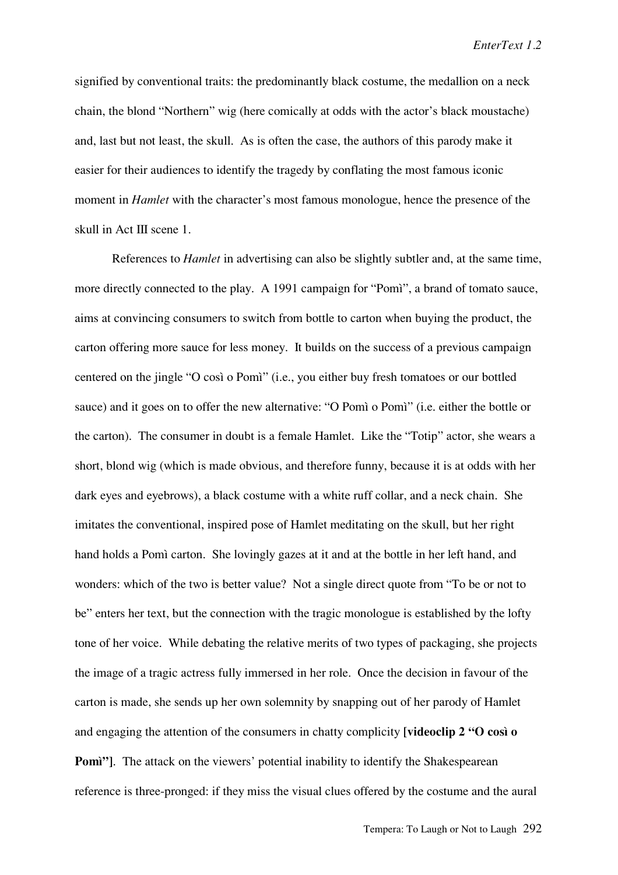signified by conventional traits: the predominantly black costume, the medallion on a neck chain, the blond "Northern" wig (here comically at odds with the actor's black moustache) and, last but not least, the skull. As is often the case, the authors of this parody make it easier for their audiences to identify the tragedy by conflating the most famous iconic moment in *Hamlet* with the character's most famous monologue, hence the presence of the skull in Act III scene 1.

References to *Hamlet* in advertising can also be slightly subtler and, at the same time, more directly connected to the play. A 1991 campaign for "Pomì", a brand of tomato sauce, aims at convincing consumers to switch from bottle to carton when buying the product, the carton offering more sauce for less money. It builds on the success of a previous campaign centered on the jingle "O così o Pomì" (i.e., you either buy fresh tomatoes or our bottled sauce) and it goes on to offer the new alternative: "O Pomì o Pomì" (i.e. either the bottle or the carton). The consumer in doubt is a female Hamlet. Like the "Totip" actor, she wears a short, blond wig (which is made obvious, and therefore funny, because it is at odds with her dark eyes and eyebrows), a black costume with a white ruff collar, and a neck chain. She imitates the conventional, inspired pose of Hamlet meditating on the skull, but her right hand holds a Pomì carton. She lovingly gazes at it and at the bottle in her left hand, and wonders: which of the two is better value? Not a single direct quote from "To be or not to be" enters her text, but the connection with the tragic monologue is established by the lofty tone of her voice. While debating the relative merits of two types of packaging, she projects the image of a tragic actress fully immersed in her role. Once the decision in favour of the carton is made, she sends up her own solemnity by snapping out of her parody of Hamlet and engaging the attention of the consumers in chatty complicity **[videoclip 2 "O così o Pomì"**]. The attack on the viewers' potential inability to identify the Shakespearean reference is three-pronged: if they miss the visual clues offered by the costume and the aural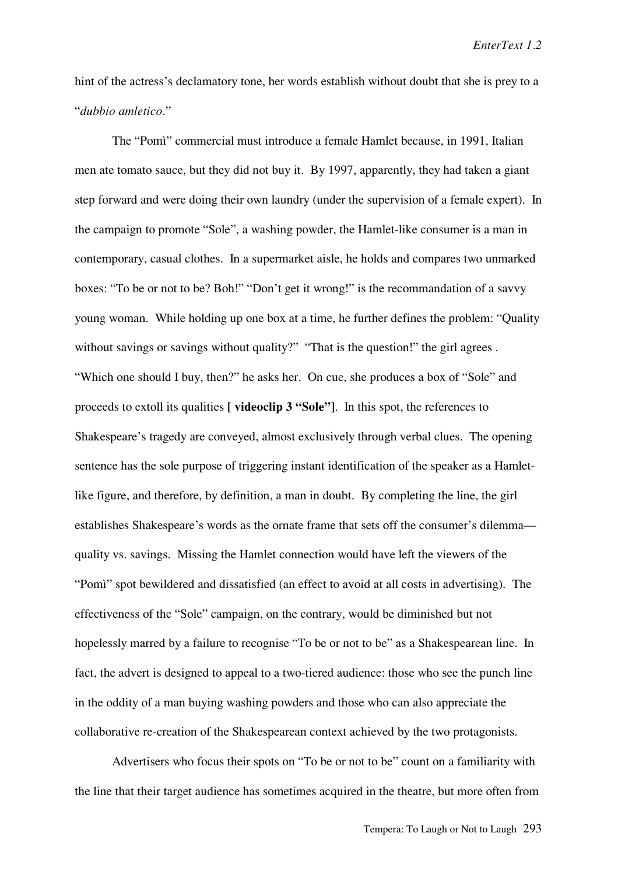hint of the actress's declamatory tone, her words establish without doubt that she is prey to a "*dubbio amletico*."

The "Pomì" commercial must introduce a female Hamlet because, in 1991, Italian men ate tomato sauce, but they did not buy it. By 1997, apparently, they had taken a giant step forward and were doing their own laundry (under the supervision of a female expert). In the campaign to promote "Sole", a washing powder, the Hamlet-like consumer is a man in contemporary, casual clothes. In a supermarket aisle, he holds and compares two unmarked boxes: "To be or not to be? Boh!" "Don't get it wrong!" is the recommandation of a savvy young woman. While holding up one box at a time, he further defines the problem: "Quality without savings or savings without quality?" "That is the question!" the girl agrees. "Which one should I buy, then?" he asks her. On cue, she produces a box of "Sole" and proceeds to extoll its qualities **[ videoclip 3 "Sole"]**. In this spot, the references to Shakespeare's tragedy are conveyed, almost exclusively through verbal clues. The opening sentence has the sole purpose of triggering instant identification of the speaker as a Hamletlike figure, and therefore, by definition, a man in doubt. By completing the line, the girl establishes Shakespeare's words as the ornate frame that sets off the consumer's dilemma quality vs. savings. Missing the Hamlet connection would have left the viewers of the "Pomì" spot bewildered and dissatisfied (an effect to avoid at all costs in advertising). The effectiveness of the "Sole" campaign, on the contrary, would be diminished but not hopelessly marred by a failure to recognise "To be or not to be" as a Shakespearean line. In fact, the advert is designed to appeal to a two-tiered audience: those who see the punch line in the oddity of a man buying washing powders and those who can also appreciate the collaborative re-creation of the Shakespearean context achieved by the two protagonists.

Advertisers who focus their spots on "To be or not to be" count on a familiarity with the line that their target audience has sometimes acquired in the theatre, but more often from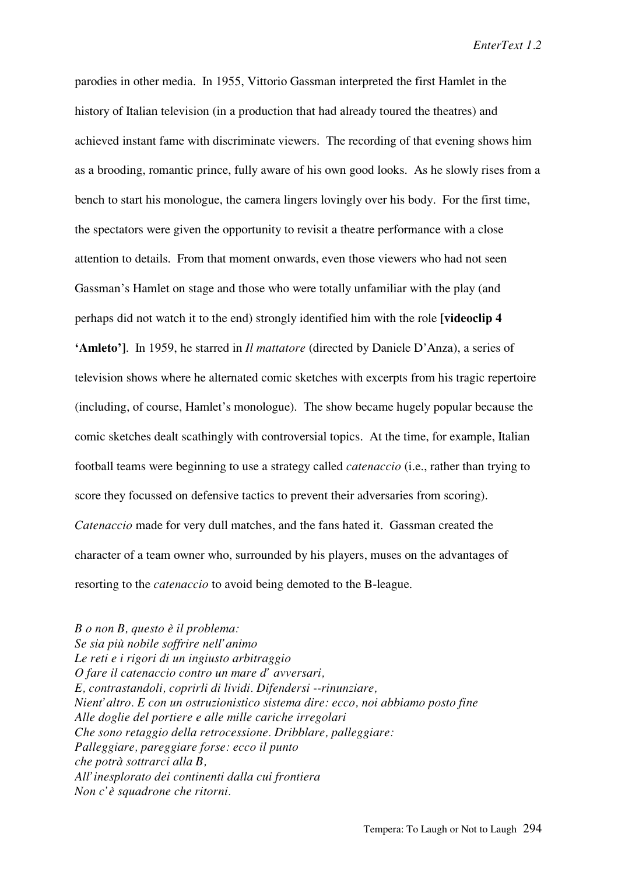parodies in other media. In 1955, Vittorio Gassman interpreted the first Hamlet in the history of Italian television (in a production that had already toured the theatres) and achieved instant fame with discriminate viewers. The recording of that evening shows him as a brooding, romantic prince, fully aware of his own good looks. As he slowly rises from a bench to start his monologue, the camera lingers lovingly over his body. For the first time, the spectators were given the opportunity to revisit a theatre performance with a close attention to details. From that moment onwards, even those viewers who had not seen Gassman's Hamlet on stage and those who were totally unfamiliar with the play (and perhaps did not watch it to the end) strongly identified him with the role **[videoclip 4 'Amleto']**. In 1959, he starred in *Il mattatore* (directed by Daniele D'Anza), a series of television shows where he alternated comic sketches with excerpts from his tragic repertoire (including, of course, Hamlet's monologue). The show became hugely popular because the comic sketches dealt scathingly with controversial topics. At the time, for example, Italian football teams were beginning to use a strategy called *catenaccio* (i.e., rather than trying to score they focussed on defensive tactics to prevent their adversaries from scoring). *Catenaccio* made for very dull matches, and the fans hated it. Gassman created the character of a team owner who, surrounded by his players, muses on the advantages of resorting to the *catenaccio* to avoid being demoted to the B-league.

*B o non B, questo è il problema: Se sia più nobile soffrire nell'animo Le reti e i rigori di un ingiusto arbitraggio O fare il catenaccio contro un mare d' avversari, E, contrastandoli, coprirli di lividi. Difendersi --rinunziare, Nient'altro. E con un ostruzionistico sistema dire: ecco, noi abbiamo posto fine Alle doglie del portiere e alle mille cariche irregolari Che sono retaggio della retrocessione. Dribblare, palleggiare: Palleggiare, pareggiare forse: ecco il punto che potrà sottrarci alla B, All'inesplorato dei continenti dalla cui frontiera Non c'è squadrone che ritorni.*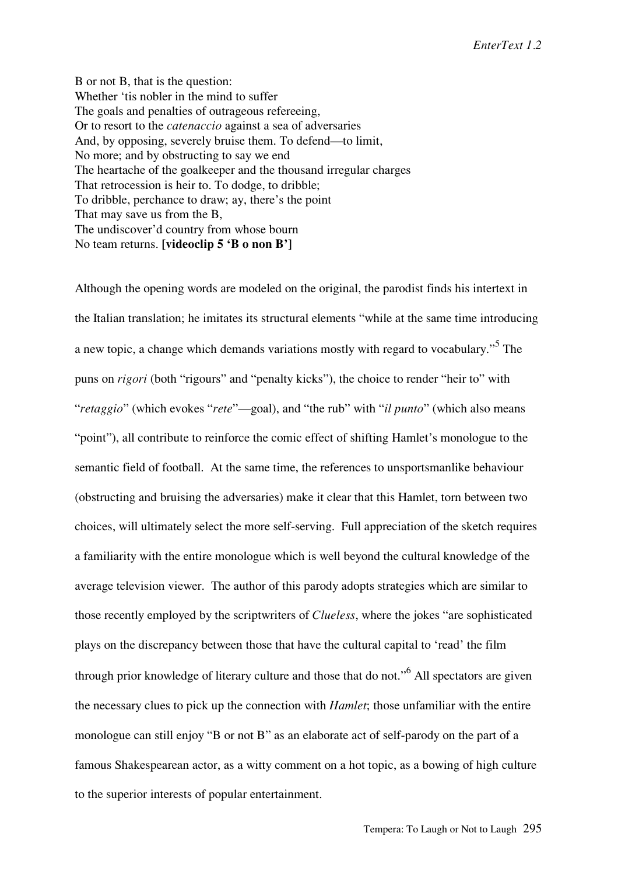B or not B, that is the question: Whether 'tis nobler in the mind to suffer The goals and penalties of outrageous refereeing, Or to resort to the *catenaccio* against a sea of adversaries And, by opposing, severely bruise them. To defend—to limit, No more; and by obstructing to say we end The heartache of the goalkeeper and the thousand irregular charges That retrocession is heir to. To dodge, to dribble; To dribble, perchance to draw; ay, there's the point That may save us from the B, The undiscover'd country from whose bourn No team returns. **[videoclip 5 'B o non B']**

Although the opening words are modeled on the original, the parodist finds his intertext in the Italian translation; he imitates its structural elements "while at the same time introducing a new topic, a change which demands variations mostly with regard to vocabulary."<sup>5</sup> The puns on *rigori* (both "rigours" and "penalty kicks"), the choice to render "heir to" with "*retaggio*" (which evokes "*rete*"—goal), and "the rub" with "*il punto*" (which also means "point"), all contribute to reinforce the comic effect of shifting Hamlet's monologue to the semantic field of football. At the same time, the references to unsportsmanlike behaviour (obstructing and bruising the adversaries) make it clear that this Hamlet, torn between two choices, will ultimately select the more self-serving. Full appreciation of the sketch requires a familiarity with the entire monologue which is well beyond the cultural knowledge of the average television viewer. The author of this parody adopts strategies which are similar to those recently employed by the scriptwriters of *Clueless*, where the jokes "are sophisticated plays on the discrepancy between those that have the cultural capital to 'read' the film through prior knowledge of literary culture and those that do not."<sup>6</sup> All spectators are given the necessary clues to pick up the connection with *Hamlet*; those unfamiliar with the entire monologue can still enjoy "B or not B" as an elaborate act of self-parody on the part of a famous Shakespearean actor, as a witty comment on a hot topic, as a bowing of high culture to the superior interests of popular entertainment.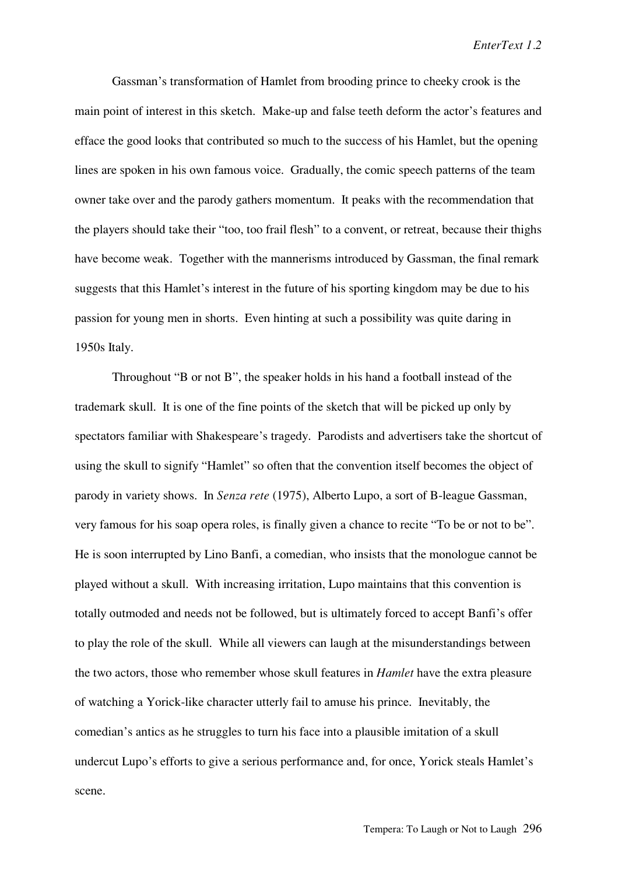Gassman's transformation of Hamlet from brooding prince to cheeky crook is the main point of interest in this sketch. Make-up and false teeth deform the actor's features and efface the good looks that contributed so much to the success of his Hamlet, but the opening lines are spoken in his own famous voice. Gradually, the comic speech patterns of the team owner take over and the parody gathers momentum. It peaks with the recommendation that the players should take their "too, too frail flesh" to a convent, or retreat, because their thighs have become weak. Together with the mannerisms introduced by Gassman, the final remark suggests that this Hamlet's interest in the future of his sporting kingdom may be due to his passion for young men in shorts. Even hinting at such a possibility was quite daring in 1950s Italy.

Throughout "B or not B", the speaker holds in his hand a football instead of the trademark skull. It is one of the fine points of the sketch that will be picked up only by spectators familiar with Shakespeare's tragedy. Parodists and advertisers take the shortcut of using the skull to signify "Hamlet" so often that the convention itself becomes the object of parody in variety shows. In *Senza rete* (1975), Alberto Lupo, a sort of B-league Gassman, very famous for his soap opera roles, is finally given a chance to recite "To be or not to be". He is soon interrupted by Lino Banfi, a comedian, who insists that the monologue cannot be played without a skull. With increasing irritation, Lupo maintains that this convention is totally outmoded and needs not be followed, but is ultimately forced to accept Banfi's offer to play the role of the skull. While all viewers can laugh at the misunderstandings between the two actors, those who remember whose skull features in *Hamlet* have the extra pleasure of watching a Yorick-like character utterly fail to amuse his prince. Inevitably, the comedian's antics as he struggles to turn his face into a plausible imitation of a skull undercut Lupo's efforts to give a serious performance and, for once, Yorick steals Hamlet's scene.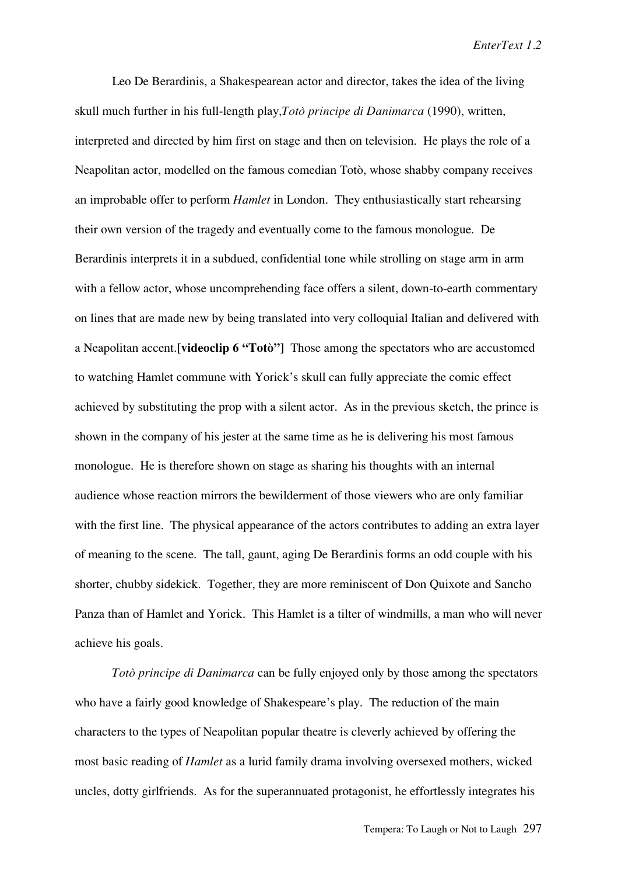Leo De Berardinis, a Shakespearean actor and director, takes the idea of the living skull much further in his full-length play,*Totò principe di Danimarca* (1990), written, interpreted and directed by him first on stage and then on television. He plays the role of a Neapolitan actor, modelled on the famous comedian Totò, whose shabby company receives an improbable offer to perform *Hamlet* in London. They enthusiastically start rehearsing their own version of the tragedy and eventually come to the famous monologue. De Berardinis interprets it in a subdued, confidential tone while strolling on stage arm in arm with a fellow actor, whose uncomprehending face offers a silent, down-to-earth commentary on lines that are made new by being translated into very colloquial Italian and delivered with a Neapolitan accent.**[videoclip 6 "Totò"]** Those among the spectators who are accustomed to watching Hamlet commune with Yorick's skull can fully appreciate the comic effect achieved by substituting the prop with a silent actor. As in the previous sketch, the prince is shown in the company of his jester at the same time as he is delivering his most famous monologue. He is therefore shown on stage as sharing his thoughts with an internal audience whose reaction mirrors the bewilderment of those viewers who are only familiar with the first line. The physical appearance of the actors contributes to adding an extra layer of meaning to the scene. The tall, gaunt, aging De Berardinis forms an odd couple with his shorter, chubby sidekick. Together, they are more reminiscent of Don Quixote and Sancho Panza than of Hamlet and Yorick. This Hamlet is a tilter of windmills, a man who will never achieve his goals.

*Totò principe di Danimarca* can be fully enjoyed only by those among the spectators who have a fairly good knowledge of Shakespeare's play. The reduction of the main characters to the types of Neapolitan popular theatre is cleverly achieved by offering the most basic reading of *Hamlet* as a lurid family drama involving oversexed mothers, wicked uncles, dotty girlfriends. As for the superannuated protagonist, he effortlessly integrates his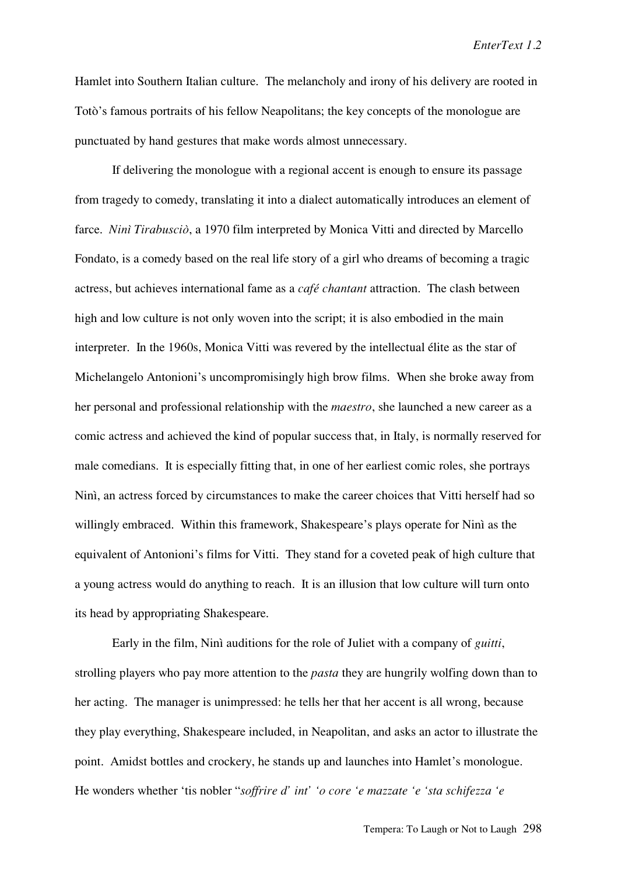*EnterText 1.2*

Hamlet into Southern Italian culture. The melancholy and irony of his delivery are rooted in Totò's famous portraits of his fellow Neapolitans; the key concepts of the monologue are punctuated by hand gestures that make words almost unnecessary.

If delivering the monologue with a regional accent is enough to ensure its passage from tragedy to comedy, translating it into a dialect automatically introduces an element of farce. *Ninì Tirabusciò*, a 1970 film interpreted by Monica Vitti and directed by Marcello Fondato, is a comedy based on the real life story of a girl who dreams of becoming a tragic actress, but achieves international fame as a *café chantant* attraction. The clash between high and low culture is not only woven into the script; it is also embodied in the main interpreter. In the 1960s, Monica Vitti was revered by the intellectual élite as the star of Michelangelo Antonioni's uncompromisingly high brow films. When she broke away from her personal and professional relationship with the *maestro*, she launched a new career as a comic actress and achieved the kind of popular success that, in Italy, is normally reserved for male comedians. It is especially fitting that, in one of her earliest comic roles, she portrays Ninì, an actress forced by circumstances to make the career choices that Vitti herself had so willingly embraced. Within this framework, Shakespeare's plays operate for Ninì as the equivalent of Antonioni's films for Vitti. They stand for a coveted peak of high culture that a young actress would do anything to reach. It is an illusion that low culture will turn onto its head by appropriating Shakespeare.

Early in the film, Ninì auditions for the role of Juliet with a company of *guitti*, strolling players who pay more attention to the *pasta* they are hungrily wolfing down than to her acting. The manager is unimpressed: he tells her that her accent is all wrong, because they play everything, Shakespeare included, in Neapolitan, and asks an actor to illustrate the point. Amidst bottles and crockery, he stands up and launches into Hamlet's monologue. He wonders whether 'tis nobler "*soffrire d' int' 'o core 'e mazzate 'e 'sta schifezza 'e*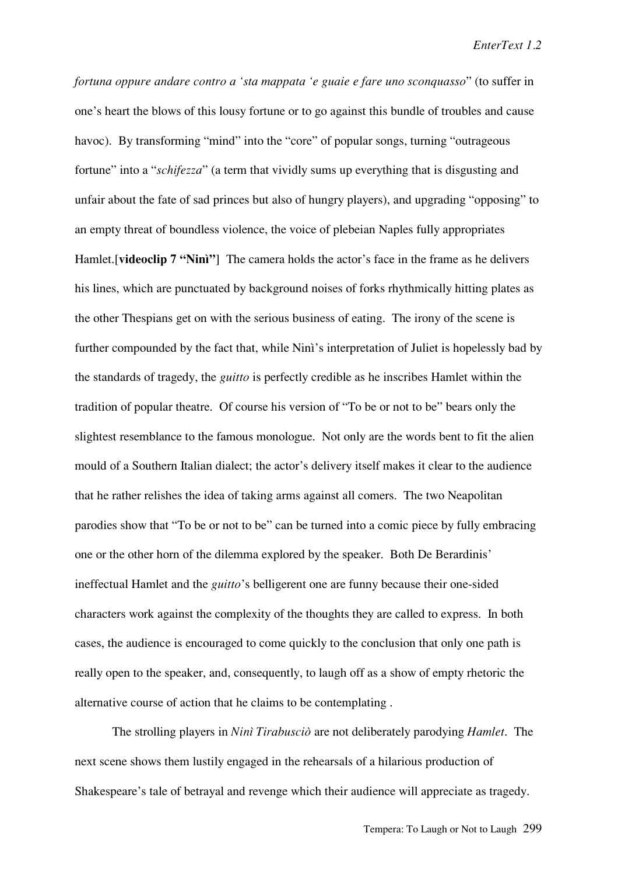*fortuna oppure andare contro a 'sta mappata 'e guaie e fare uno sconquasso*" (to suffer in one's heart the blows of this lousy fortune or to go against this bundle of troubles and cause havoc). By transforming "mind" into the "core" of popular songs, turning "outrageous fortune" into a "*schifezza*" (a term that vividly sums up everything that is disgusting and unfair about the fate of sad princes but also of hungry players), and upgrading "opposing" to an empty threat of boundless violence, the voice of plebeian Naples fully appropriates Hamlet.[**videoclip 7 "Ninì"**] The camera holds the actor's face in the frame as he delivers his lines, which are punctuated by background noises of forks rhythmically hitting plates as the other Thespians get on with the serious business of eating. The irony of the scene is further compounded by the fact that, while Ninì's interpretation of Juliet is hopelessly bad by the standards of tragedy, the *guitto* is perfectly credible as he inscribes Hamlet within the tradition of popular theatre. Of course his version of "To be or not to be" bears only the slightest resemblance to the famous monologue. Not only are the words bent to fit the alien mould of a Southern Italian dialect; the actor's delivery itself makes it clear to the audience that he rather relishes the idea of taking arms against all comers. The two Neapolitan parodies show that "To be or not to be" can be turned into a comic piece by fully embracing one or the other horn of the dilemma explored by the speaker. Both De Berardinis' ineffectual Hamlet and the *guitto*'s belligerent one are funny because their one-sided characters work against the complexity of the thoughts they are called to express. In both cases, the audience is encouraged to come quickly to the conclusion that only one path is really open to the speaker, and, consequently, to laugh off as a show of empty rhetoric the alternative course of action that he claims to be contemplating .

The strolling players in *Ninì Tirabusciò* are not deliberately parodying *Hamlet*. The next scene shows them lustily engaged in the rehearsals of a hilarious production of Shakespeare's tale of betrayal and revenge which their audience will appreciate as tragedy.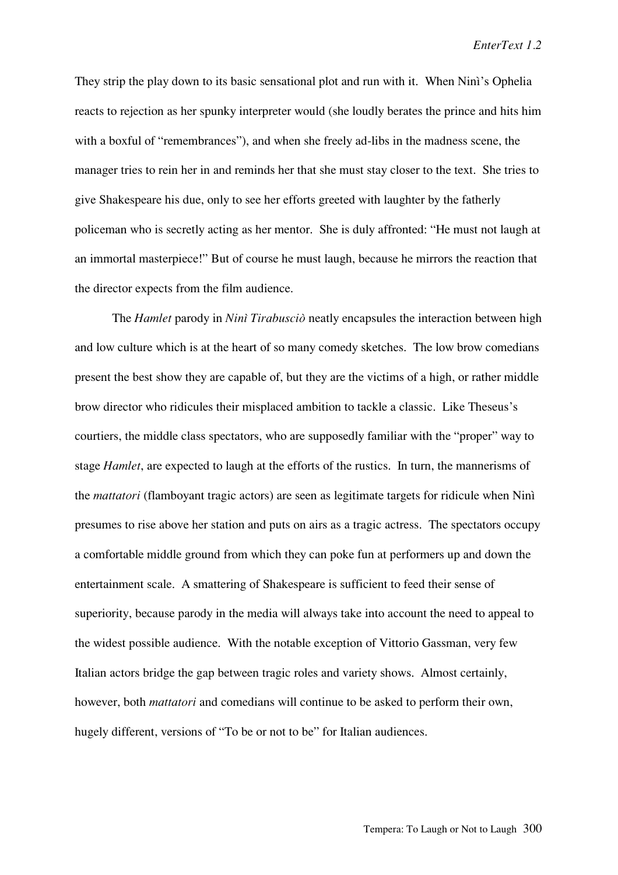They strip the play down to its basic sensational plot and run with it. When Ninì's Ophelia reacts to rejection as her spunky interpreter would (she loudly berates the prince and hits him with a boxful of "remembrances"), and when she freely ad-libs in the madness scene, the manager tries to rein her in and reminds her that she must stay closer to the text. She tries to give Shakespeare his due, only to see her efforts greeted with laughter by the fatherly policeman who is secretly acting as her mentor. She is duly affronted: "He must not laugh at an immortal masterpiece!" But of course he must laugh, because he mirrors the reaction that the director expects from the film audience.

The *Hamlet* parody in *Ninì Tirabusciò* neatly encapsules the interaction between high and low culture which is at the heart of so many comedy sketches. The low brow comedians present the best show they are capable of, but they are the victims of a high, or rather middle brow director who ridicules their misplaced ambition to tackle a classic. Like Theseus's courtiers, the middle class spectators, who are supposedly familiar with the "proper" way to stage *Hamlet*, are expected to laugh at the efforts of the rustics. In turn, the mannerisms of the *mattatori* (flamboyant tragic actors) are seen as legitimate targets for ridicule when Ninì presumes to rise above her station and puts on airs as a tragic actress. The spectators occupy a comfortable middle ground from which they can poke fun at performers up and down the entertainment scale. A smattering of Shakespeare is sufficient to feed their sense of superiority, because parody in the media will always take into account the need to appeal to the widest possible audience. With the notable exception of Vittorio Gassman, very few Italian actors bridge the gap between tragic roles and variety shows. Almost certainly, however, both *mattatori* and comedians will continue to be asked to perform their own, hugely different, versions of "To be or not to be" for Italian audiences.